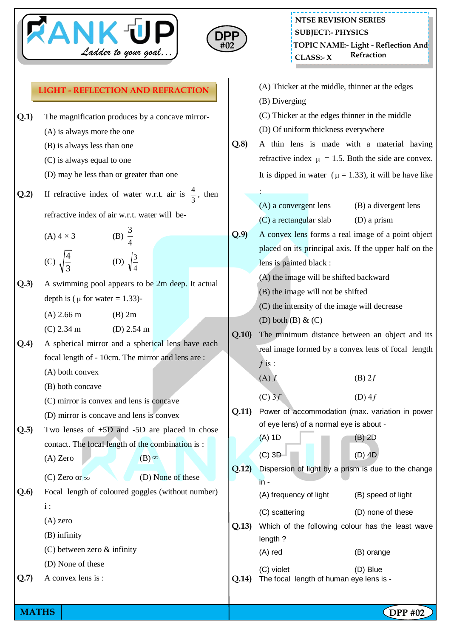



## **NTSE REVISION SERIES TOPIC NAME:- Light - Reflection And CLASS: Refraction - X SUBJECT:- PHYSICS**

|      | Ladder to your goal $\int$                                                                                                                                                             |       | Refraction<br>CLASS: X                                                                                                                                                                                                                                                           |  |  |
|------|----------------------------------------------------------------------------------------------------------------------------------------------------------------------------------------|-------|----------------------------------------------------------------------------------------------------------------------------------------------------------------------------------------------------------------------------------------------------------------------------------|--|--|
|      | <b>LIGHT - REFLECTION AND REFRACTION</b>                                                                                                                                               |       | (A) Thicker at the middle, thinner at the edges                                                                                                                                                                                                                                  |  |  |
| Q.1) | The magnification produces by a concave mirror-<br>(A) is always more the one<br>(B) is always less than one<br>(C) is always equal to one<br>(D) may be less than or greater than one | Q.8   | (B) Diverging<br>(C) Thicker at the edges thinner in the middle<br>(D) Of uniform thickness everywhere<br>A thin lens is made with a material having<br>refractive index $\mu = 1.5$ . Both the side are convex.<br>It is dipped in water ( $\mu = 1.33$ ), it will be have like |  |  |
| Q.2) | If refractive index of water w.r.t. air is $\frac{4}{3}$ , then                                                                                                                        |       | (A) a convergent lens<br>(B) a divergent lens                                                                                                                                                                                                                                    |  |  |
|      | refractive index of air w.r.t. water will be-                                                                                                                                          |       | (C) a rectangular slab<br>$(D)$ a prism                                                                                                                                                                                                                                          |  |  |
|      | (B) $\frac{3}{4}$<br>$(A)$ 4 $\times$ 3<br>(D) $\sqrt{\frac{3}{4}}$<br>(C) $\sqrt{\frac{4}{3}}$                                                                                        | Q.9   | A convex lens forms a real image of a point object<br>placed on its principal axis. If the upper half on the<br>lens is painted black :                                                                                                                                          |  |  |
| Q.3) | A swimming pool appears to be 2m deep. It actual<br>depth is ( $\mu$ for water = 1.33)-<br>$(A)$ 2.66 m<br>$(B)$ 2m                                                                    |       | (A) the image will be shifted backward<br>(B) the image will not be shifted<br>(C) the intensity of the image will decrease                                                                                                                                                      |  |  |
| Q.4) | $(C)$ 2.34 m<br>(D) $2.54 \text{ m}$<br>A spherical mirror and a spherical lens have each<br>focal length of - 10cm. The mirror and lens are:<br>(A) both convex                       | Q.10  | (D) both $(B)$ & $(C)$<br>The minimum distance between an object and its<br>real image formed by a convex lens of focal length<br>$f$ is :<br>$(B)$ 2f<br>(A) f                                                                                                                  |  |  |
| Q.5) | (B) both concave<br>(C) mirror is convex and lens is concave<br>(D) mirror is concave and lens is convex<br>Two lenses of $+5D$ and $-5D$ are placed in chose                          | Q.11) | (C) 3f<br>$(D)$ 4f<br>Power of accommodation (max. variation in power<br>of eye lens) of a normal eye is about -                                                                                                                                                                 |  |  |
|      | contact. The focal length of the combination is :<br>$(A)$ Zero<br>$(B)$ <sup>∞</sup><br>(D) None of these<br>(C) Zero or $\infty$                                                     | Q.12  | $(A)$ 1D<br>$(B)$ 2D<br>$(C)$ 3D<br>$(D)$ 4D<br>Dispersion of light by a prism is due to the change<br>$in -$                                                                                                                                                                    |  |  |
| Q.6) | Focal length of coloured goggles (without number)                                                                                                                                      |       | (A) frequency of light<br>(B) speed of light                                                                                                                                                                                                                                     |  |  |
|      | $i$ :<br>$(A)$ zero<br>$(B)$ infinity<br>$(C)$ between zero $\&$ infinity<br>(D) None of these                                                                                         | Q.13) | (C) scattering<br>(D) none of these<br>Which of the following colour has the least wave<br>length?<br>(A) red<br>(B) orange                                                                                                                                                      |  |  |
| Q.7) | A convex lens is :                                                                                                                                                                     | Q.14) | (C) violet<br>(D) Blue<br>The focal length of human eye lens is -                                                                                                                                                                                                                |  |  |

**MATHS** DPP #02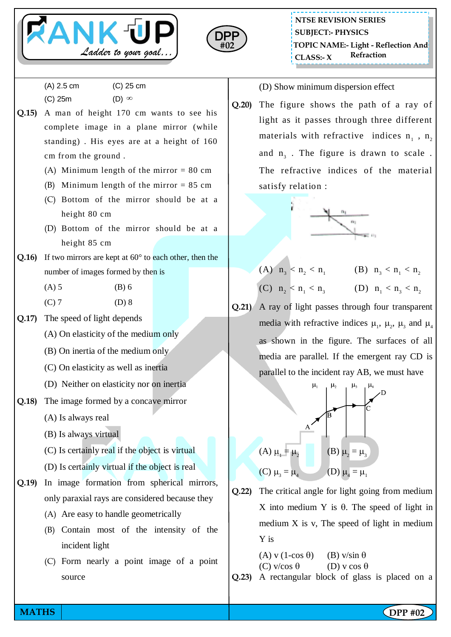



(A) 2.5 cm (C) 25 cm

 $(C)$  25m  $(D) \infty$ 

- **Q.15)** A man of height 170 cm wants to see his complete image in a plane mirror (while standing) . His eyes are at a height of 160 cm from the ground .
	- (A) Minimum length of the mirror  $= 80$  cm
	- (B) Minimum length of the mirror  $= 85$  cm
	- (C) Bottom of the mirror should be at a height 80 cm
	- (D) Bottom of the mirror should be at a height 85 cm
- **Q.16)** If two mirrors are kept at 60° to each other, then the number of images formed by then is
	- $(A) 5$  (B) 6
	- $(C) 7$  (D) 8
- **Q.17)** The speed of light depends
	- (A) On elasticity of the medium only
	- (B) On inertia of the medium only
	- (C) On elasticity as well as inertia
	- (D) Neither on elasticity nor on inertia
- **Q.18)** The image formed by a concave mirror
	- (A) Is always real
	- (B) Is always virtual
	- (C) Is certainly real if the object is virtual
	- (D) Is certainly virtual if the object is real
- **Q.19)** In image formation from spherical mirrors, only paraxial rays are considered because they
	- (A) Are easy to handle geometrically
	- (B) Contain most of the intensity of the incident light
	- (C) Form nearly a point image of a point source

(D) Show minimum dispersion effect

**Q.20)** The figure shows the path of a ray of light as it passes through three different materials with refractive indices  $n_1$ ,  $n_2$ and  $n_3$ . The figure is drawn to scale. The refractive indices of the material satisfy relation :



- (A)  $n_3 < n_2 < n_1$  (B)  $n_3 < n_1 < n_2$ (C)  $n_2 < n_1 < n_3$  (D)  $n_1 < n_3 < n_2$
- **Q.21)** A ray of light passes through four transparent media with refractive indices  $\mu_1$ ,  $\mu_2$ ,  $\mu_3$  and  $\mu_4$ as shown in the figure. The surfaces of all media are parallel. If the emergent ray CD is parallel to the incident ray AB, we must have



- **Q.22)** The critical angle for light going from medium X into medium Y is  $\theta$ . The speed of light in medium  $X$  is  $v$ , The speed of light in medium Y is
	- (A) v (1-cos  $\theta$ ) (B) v/sin  $\theta$ (C)  $v/cos \theta$  (D)  $v cos \theta$

**Q.23)** A rectangular block of glass is placed on a

**MATHS NATHS Example 2 CDPP** #02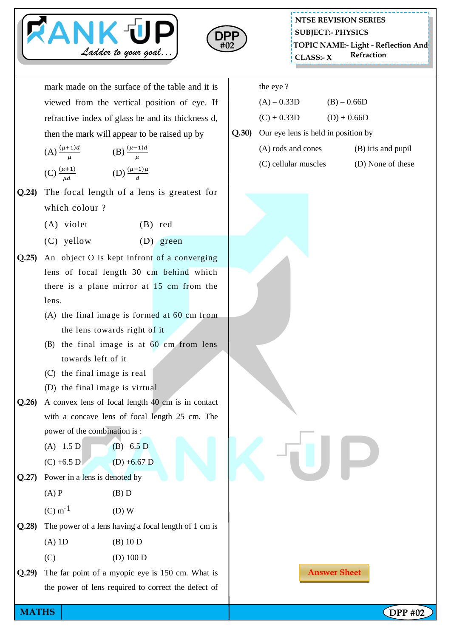



mark made on the surface of the table and it is viewed from the vertical position of eye. If refractive index of glass be and its thickness d, then the mark will appear to be raised up by

| (A) $\frac{(\mu+1)d}{\mu}$  | (B) $\frac{(\mu - 1)d}{\mu}$ |
|-----------------------------|------------------------------|
| (C) $\frac{(\mu+1)}{\mu d}$ | (D) $\frac{(\mu-1)\mu}{d}$   |

- **Q.24)** The focal length of a lens is greatest for which colour ?
	- (A) violet (B) red
	- (C) yellow (D) green
- **Q.25)** An object O is kept infront of a converging lens of focal length 30 cm behind which there is a plane mirror at 15 cm from the lens.
	- (A) the final image is formed at 60 cm from the lens towards right of it
	- (B) the final image is at 60 cm from lens towards left of it
	- (C) the final image is real
	- (D) the final image is virtual
- **Q.26)** A convex lens of focal length 40 cm is in contact with a concave lens of focal length 25 cm. The power of the combination is :
	- $(A) -1.5 D$  (B) –6.5 D
	- $(C) +6.5 D$  (D) +6.67 D
- **Q.27)** Power in a lens is denoted by
	- $(A)$  P  $(B)$  D
	- $(C) m^{-1}$  (D) W
- **Q.28)** The power of a lens having a focal length of 1 cm is  $(A) 1D$  (B)  $10 D$ 
	- (C) (D) 100 D
- **Q.29)** The far point of a myopic eye is 150 cm. What is the power of lens required to correct the defect of
- the eye ?
- $(A) 0.33D$  (B) 0.66D  $(C) + 0.33D$  (D) + 0.66D
- **Q.30)** Our eye lens is held in position by
	- (A) rods and cones (B) iris and pupil
	- (C) cellular muscles (D) None of these

**Answer Sheet**